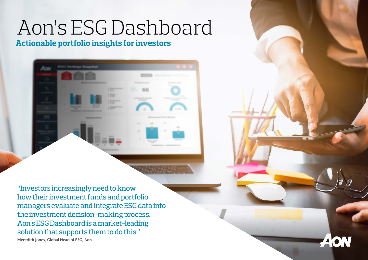## Aon's ESG Dashboard

**Actionable portfolio insights for investors** 

| And Allmany Management                                                                                                                                                                                                                  |                                                                                                                                                                                               |
|-----------------------------------------------------------------------------------------------------------------------------------------------------------------------------------------------------------------------------------------|-----------------------------------------------------------------------------------------------------------------------------------------------------------------------------------------------|
| <b>William Real Williams</b>                                                                                                                                                                                                            | <b>Roman dan control</b>                                                                                                                                                                      |
| $177 - 1$<br><b>I'm</b><br>17.7<br><b>STEVENS</b><br><b>Home: Small</b><br><b>Blueman</b><br><b>September</b><br>157                                                                                                                    | <b>Sect</b><br><b>Service</b><br>1000<br><b>Gallery</b><br>Statements.<br>٠                                                                                                                   |
| <b>Market Gard</b><br><b>REGISTER COMPANY</b> COMPANY AND INCOME.<br><b>Newspaper Printer College</b><br><b>SECTION</b><br><b>SHARE</b><br><b>HOUSE</b><br>_<br><b>HARRY</b><br><b>ALANYA</b><br>-<br><b>Joseph</b><br>۰<br>х<br>-<br>m | <b>CONTRACTOR</b><br>and other than<br>-<br><b>SILL</b><br>کا جا<br><b>SIE</b><br>m<br><b>SHE</b><br>٠<br>٠<br><b>SERVICE AND REAL</b><br><b>Signal</b><br>In resonance of the two stress two |

"Investors increasingly need to know how their investment funds and portfolio managers evaluate and integrate ESG data into the investment decision-making process. Aon's ESG Dashboard is a market-leading solution that supports them to do this." Meredith Jones, Global Head of ESG, Aon